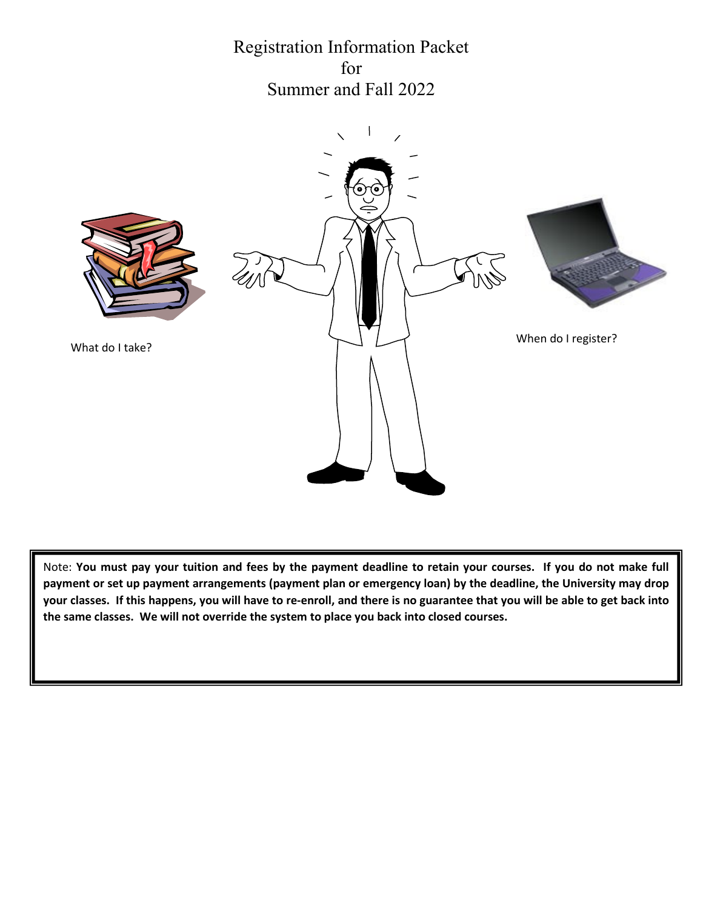Registration Information Packet for Summer and Fall 2022



Note: **You must pay your tuition and fees by the payment deadline to retain your courses. If you do not make full payment or set up payment arrangements (payment plan or emergency loan) by the deadline, the University may drop your classes. If this happens, you will have to re-enroll, and there is no guarantee that you will be able to get back into the same classes. We will not override the system to place you back into closed courses.**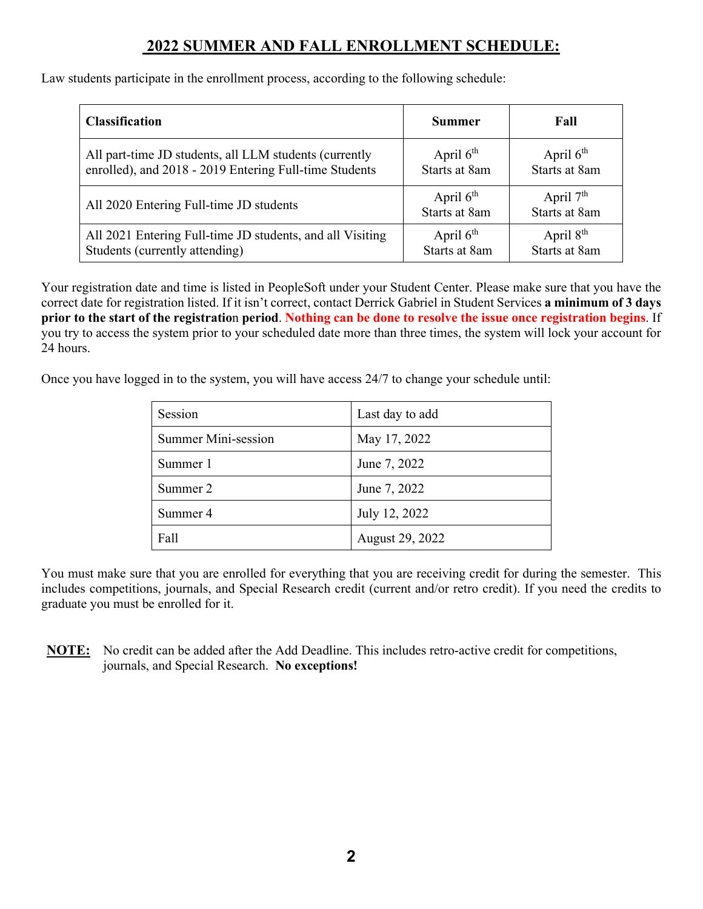### **2022 SUMMER AND FALL ENROLLMENT SCHEDULE:**

Law students participate in the enrollment process, according to the following schedule:

| <b>Classification</b>                                     | <b>Summer</b>                | Fall                         |
|-----------------------------------------------------------|------------------------------|------------------------------|
| All part-time JD students, all LLM students (currently    | April $6th$                  | April $6th$                  |
| enrolled), and 2018 - 2019 Entering Full-time Students    | Starts at 8am                | Starts at 8am                |
| All 2020 Entering Full-time JD students                   | April $6th$<br>Starts at 8am | April $7th$<br>Starts at 8am |
| All 2021 Entering Full-time JD students, and all Visiting | April $6th$                  | April $8th$                  |
| Students (currently attending)                            | Starts at 8am                | Starts at 8am                |

Your registration date and time is listed in PeopleSoft under your Student Center. Please make sure that you have the correct date for registration listed. If it isn't correct, contact Derrick Gabriel in Student Services **a minimum of 3 days prior to the start of the registratio**n **period**. **Nothing can be done to resolve the issue once registration begins**. If you try to access the system prior to your scheduled date more than three times, the system will lock your account for 24 hours.

Once you have logged in to the system, you will have access 24/7 to change your schedule until:

| Session             | Last day to add |
|---------------------|-----------------|
| Summer Mini-session | May 17, 2022    |
| Summer 1            | June 7, 2022    |
| Summer 2            | June 7, 2022    |
| Summer 4            | July 12, 2022   |
| Fall                | August 29, 2022 |

You must make sure that you are enrolled for everything that you are receiving credit for during the semester. This includes competitions, journals, and Special Research credit (current and/or retro credit). If you need the credits to graduate you must be enrolled for it.

**NOTE:** No credit can be added after the Add Deadline. This includes retro-active credit for competitions, journals, and Special Research. **No exceptions!**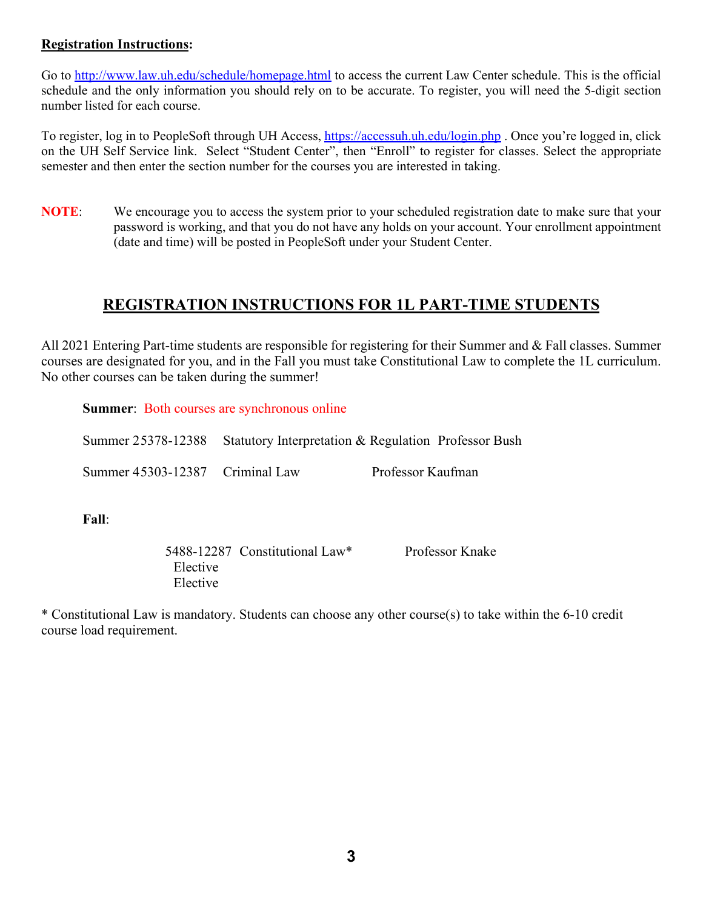#### **Registration Instructions:**

Go to<http://www.law.uh.edu/schedule/homepage.html> to access the current Law Center schedule. This is the official schedule and the only information you should rely on to be accurate. To register, you will need the 5-digit section number listed for each course.

To register, log in to PeopleSoft through UH Access,<https://accessuh.uh.edu/login.php>. Once you're logged in, click on the UH Self Service link. Select "Student Center", then "Enroll" to register for classes. Select the appropriate semester and then enter the section number for the courses you are interested in taking.

**NOTE**: We encourage you to access the system prior to your scheduled registration date to make sure that your password is working, and that you do not have any holds on your account. Your enrollment appointment (date and time) will be posted in PeopleSoft under your Student Center.

### **REGISTRATION INSTRUCTIONS FOR 1L PART-TIME STUDENTS**

All 2021 Entering Part-time students are responsible for registering for their Summer and & Fall classes. Summer courses are designated for you, and in the Fall you must take Constitutional Law to complete the 1L curriculum. No other courses can be taken during the summer!

**Summer:** Both courses are synchronous online

|                                 | Summer 25378-12388 Statutory Interpretation & Regulation Professor Bush |
|---------------------------------|-------------------------------------------------------------------------|
| Summer 45303-12387 Criminal Law | Professor Kaufman                                                       |
|                                 |                                                                         |

**Fall**:

|          | 5488-12287 Constitutional Law* | Professor Knake |
|----------|--------------------------------|-----------------|
| Elective |                                |                 |
| Elective |                                |                 |

\* Constitutional Law is mandatory. Students can choose any other course(s) to take within the 6-10 credit course load requirement.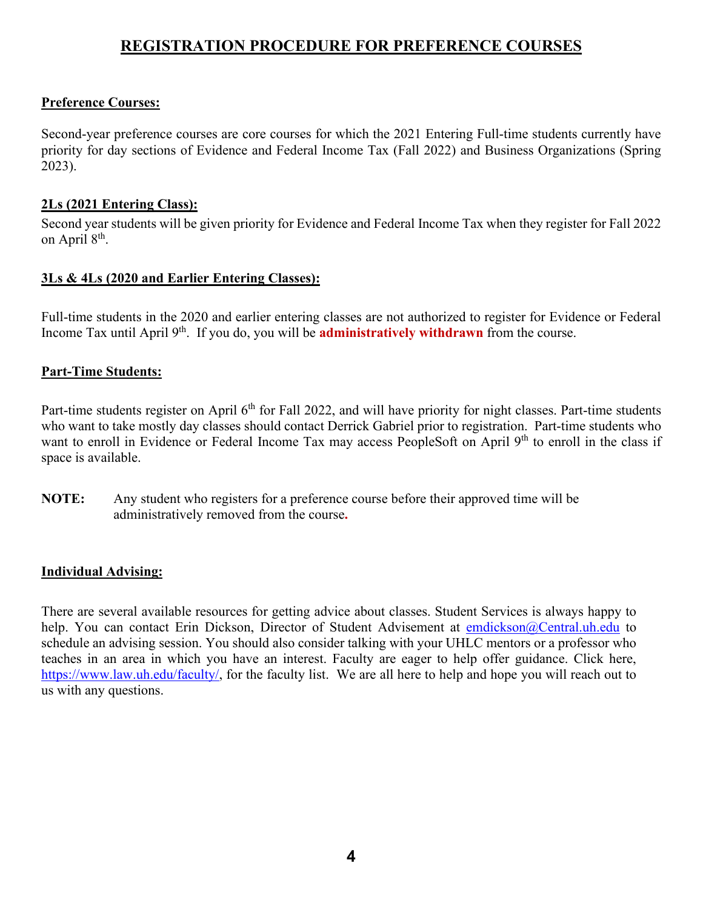### **REGISTRATION PROCEDURE FOR PREFERENCE COURSES**

#### **Preference Courses:**

Second-year preference courses are core courses for which the 2021 Entering Full-time students currently have priority for day sections of Evidence and Federal Income Tax (Fall 2022) and Business Organizations (Spring 2023).

#### **2Ls (2021 Entering Class):**

Second year students will be given priority for Evidence and Federal Income Tax when they register for Fall 2022 on April 8<sup>th</sup>.

#### **3Ls & 4Ls (2020 and Earlier Entering Classes):**

Full-time students in the 2020 and earlier entering classes are not authorized to register for Evidence or Federal Income Tax until April 9th. If you do, you will be **administratively withdrawn** from the course.

#### **Part-Time Students:**

Part-time students register on April 6<sup>th</sup> for Fall 2022, and will have priority for night classes. Part-time students who want to take mostly day classes should contact Derrick Gabriel prior to registration. Part-time students who want to enroll in Evidence or Federal Income Tax may access PeopleSoft on April 9<sup>th</sup> to enroll in the class if space is available.

**NOTE:** Any student who registers for a preference course before their approved time will be administratively removed from the course**.** 

#### **Individual Advising:**

There are several available resources for getting advice about classes. Student Services is always happy to help. You can contact Erin Dickson, Director of Student Advisement at [emdickson@Central.uh.edu](mailto:emdickson@Central.uh.edu) to schedule an advising session. You should also consider talking with your UHLC mentors or a professor who teaches in an area in which you have an interest. Faculty are eager to help offer guidance. Click here, [https://www.law.uh.edu/faculty/,](https://www.law.uh.edu/faculty/) for the faculty list. We are all here to help and hope you will reach out to us with any questions.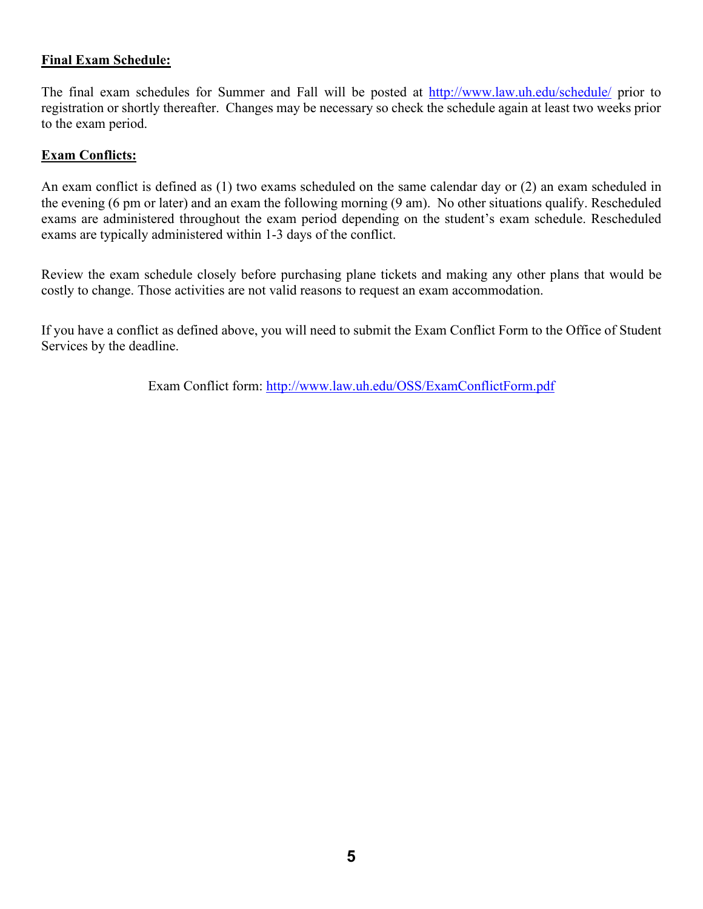#### **Final Exam Schedule:**

The final exam schedules for Summer and Fall will be posted at<http://www.law.uh.edu/schedule/> prior to registration or shortly thereafter. Changes may be necessary so check the schedule again at least two weeks prior to the exam period.

#### **Exam Conflicts:**

An exam conflict is defined as (1) two exams scheduled on the same calendar day or (2) an exam scheduled in the evening (6 pm or later) and an exam the following morning (9 am). No other situations qualify. Rescheduled exams are administered throughout the exam period depending on the student's exam schedule. Rescheduled exams are typically administered within 1-3 days of the conflict.

Review the exam schedule closely before purchasing plane tickets and making any other plans that would be costly to change. Those activities are not valid reasons to request an exam accommodation.

If you have a conflict as defined above, you will need to submit the Exam Conflict Form to the Office of Student Services by the deadline.

Exam Conflict form:<http://www.law.uh.edu/OSS/ExamConflictForm.pdf>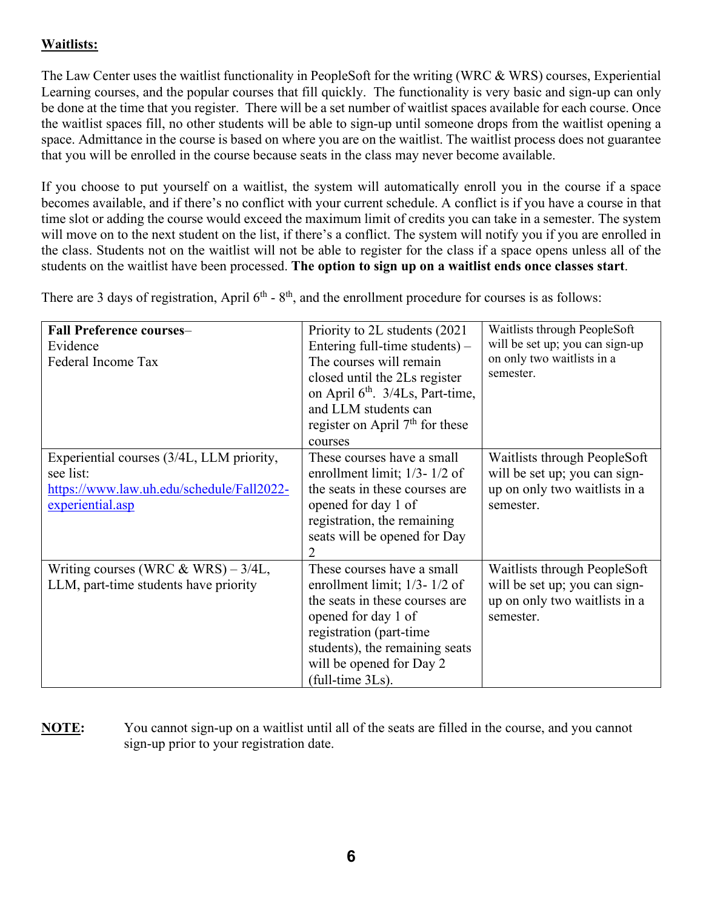#### **Waitlists:**

The Law Center uses the waitlist functionality in PeopleSoft for the writing (WRC & WRS) courses, Experiential Learning courses, and the popular courses that fill quickly. The functionality is very basic and sign-up can only be done at the time that you register. There will be a set number of waitlist spaces available for each course. Once the waitlist spaces fill, no other students will be able to sign-up until someone drops from the waitlist opening a space. Admittance in the course is based on where you are on the waitlist. The waitlist process does not guarantee that you will be enrolled in the course because seats in the class may never become available.

If you choose to put yourself on a waitlist, the system will automatically enroll you in the course if a space becomes available, and if there's no conflict with your current schedule. A conflict is if you have a course in that time slot or adding the course would exceed the maximum limit of credits you can take in a semester. The system will move on to the next student on the list, if there's a conflict. The system will notify you if you are enrolled in the class. Students not on the waitlist will not be able to register for the class if a space opens unless all of the students on the waitlist have been processed. **The option to sign up on a waitlist ends once classes start**.

There are 3 days of registration, April  $6<sup>th</sup>$  -  $8<sup>th</sup>$ , and the enrollment procedure for courses is as follows:

| <b>Fall Preference courses-</b>           | Priority to 2L students (2021)               | Waitlists through PeopleSoft    |
|-------------------------------------------|----------------------------------------------|---------------------------------|
| Evidence                                  | Entering full-time students) $-$             | will be set up; you can sign-up |
| Federal Income Tax                        | The courses will remain                      | on only two waitlists in a      |
|                                           | closed until the 2Ls register                | semester.                       |
|                                           | on April 6 <sup>th</sup> . 3/4Ls, Part-time, |                                 |
|                                           | and LLM students can                         |                                 |
|                                           | register on April $7th$ for these            |                                 |
|                                           | courses                                      |                                 |
| Experiential courses (3/4L, LLM priority, | These courses have a small                   | Waitlists through PeopleSoft    |
| see list:                                 | enrollment limit; $1/3 - 1/2$ of             | will be set up; you can sign-   |
| https://www.law.uh.edu/schedule/Fall2022- | the seats in these courses are               | up on only two waitlists in a   |
| experiential.asp                          | opened for day 1 of                          | semester.                       |
|                                           | registration, the remaining                  |                                 |
|                                           | seats will be opened for Day                 |                                 |
|                                           |                                              |                                 |
| Writing courses (WRC & WRS) $-3/4L$ ,     | These courses have a small                   | Waitlists through PeopleSoft    |
| LLM, part-time students have priority     | enrollment limit; $1/3 - 1/2$ of             | will be set up; you can sign-   |
|                                           | the seats in these courses are               | up on only two waitlists in a   |
|                                           | opened for day 1 of                          | semester.                       |
|                                           | registration (part-time                      |                                 |
|                                           | students), the remaining seats               |                                 |
|                                           | will be opened for Day 2                     |                                 |
|                                           | (full-time 3Ls).                             |                                 |

**NOTE:** You cannot sign-up on a waitlist until all of the seats are filled in the course, and you cannot sign-up prior to your registration date.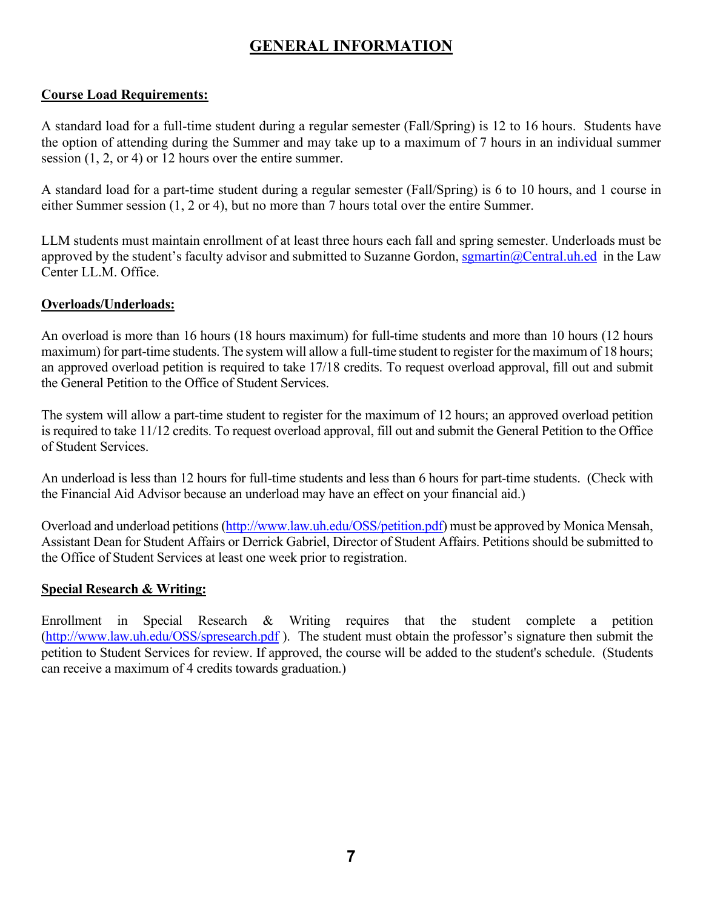### **GENERAL INFORMATION**

#### **Course Load Requirements:**

A standard load for a full-time student during a regular semester (Fall/Spring) is 12 to 16 hours. Students have the option of attending during the Summer and may take up to a maximum of 7 hours in an individual summer session (1, 2, or 4) or 12 hours over the entire summer.

A standard load for a part-time student during a regular semester (Fall/Spring) is 6 to 10 hours, and 1 course in either Summer session (1, 2 or 4), but no more than 7 hours total over the entire Summer.

LLM students must maintain enrollment of at least three hours each fall and spring semester. Underloads must be approved by the student's faculty advisor and submitted to Suzanne Gordon, [sgmartin@Central.uh.ed](mailto:sgmartin@Central.uh.ed) in the Law Center LL.M. Office.

#### **Overloads/Underloads:**

An overload is more than 16 hours (18 hours maximum) for full-time students and more than 10 hours (12 hours maximum) for part-time students. The system will allow a full-time student to register for the maximum of 18 hours; an approved overload petition is required to take 17/18 credits. To request overload approval, fill out and submit the General Petition to the Office of Student Services.

The system will allow a part-time student to register for the maximum of 12 hours; an approved overload petition is required to take 11/12 credits. To request overload approval, fill out and submit the General Petition to the Office of Student Services.

An underload is less than 12 hours for full-time students and less than 6 hours for part-time students. (Check with the Financial Aid Advisor because an underload may have an effect on your financial aid.)

Overload and underload petitions [\(http://www.law.uh.edu/OSS/petition.pdf\)](http://www.law.uh.edu/OSS/petition.pdf) must be approved by Monica Mensah, Assistant Dean for Student Affairs or Derrick Gabriel, Director of Student Affairs. Petitions should be submitted to the Office of Student Services at least one week prior to registration.

#### **Special Research & Writing:**

Enrollment in Special Research & Writing requires that the student complete a petition [\(http://www.law.uh.edu/OSS/spresearch.pdf](http://www.law.uh.edu/OSS/spresearch.pdf) ). The student must obtain the professor's signature then submit the petition to Student Services for review. If approved, the course will be added to the student's schedule. (Students can receive a maximum of 4 credits towards graduation.)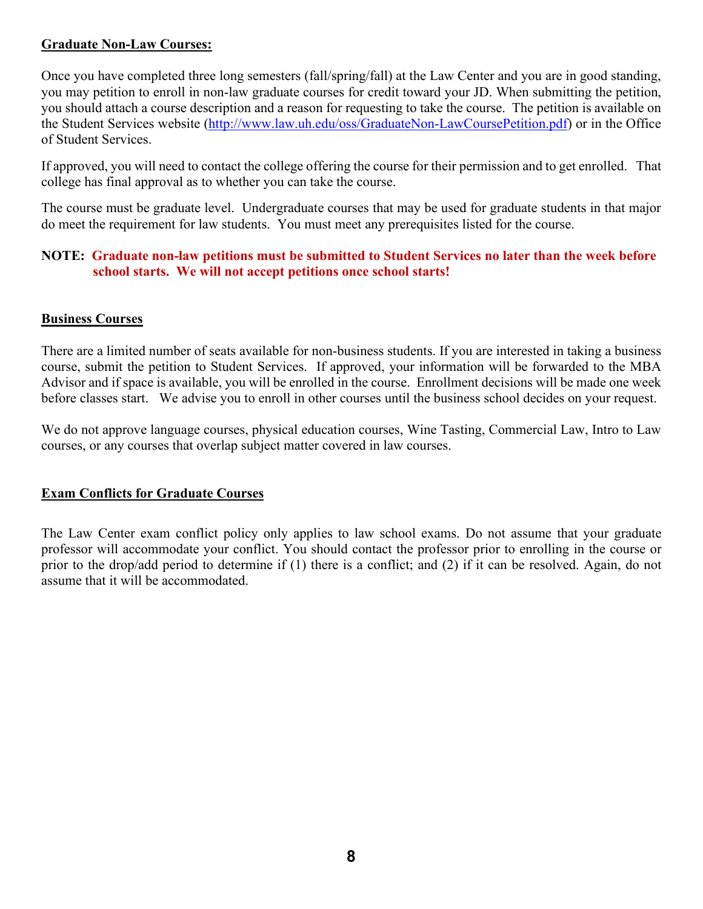#### **Graduate Non-Law Courses:**

Once you have completed three long semesters (fall/spring/fall) at the Law Center and you are in good standing, you may petition to enroll in non-law graduate courses for credit toward your JD. When submitting the petition, you should attach a course description and a reason for requesting to take the course. The petition is available on the Student Services website [\(http://www.law.uh.edu/oss/GraduateNon-LawCoursePetition.pdf\)](http://www.law.uh.edu/oss/GraduateNon-LawCoursePetition.pdf) or in the Office of Student Services.

If approved, you will need to contact the college offering the course for their permission and to get enrolled. That college has final approval as to whether you can take the course.

The course must be graduate level. Undergraduate courses that may be used for graduate students in that major do meet the requirement for law students. You must meet any prerequisites listed for the course.

#### **NOTE: Graduate non-law petitions must be submitted to Student Services no later than the week before school starts. We will not accept petitions once school starts!**

#### **Business Courses**

There are a limited number of seats available for non-business students. If you are interested in taking a business course, submit the petition to Student Services. If approved, your information will be forwarded to the MBA Advisor and if space is available, you will be enrolled in the course. Enrollment decisions will be made one week before classes start. We advise you to enroll in other courses until the business school decides on your request.

We do not approve language courses, physical education courses, Wine Tasting, Commercial Law, Intro to Law courses, or any courses that overlap subject matter covered in law courses.

#### **Exam Conflicts for Graduate Courses**

The Law Center exam conflict policy only applies to law school exams. Do not assume that your graduate professor will accommodate your conflict. You should contact the professor prior to enrolling in the course or prior to the drop/add period to determine if (1) there is a conflict; and (2) if it can be resolved. Again, do not assume that it will be accommodated.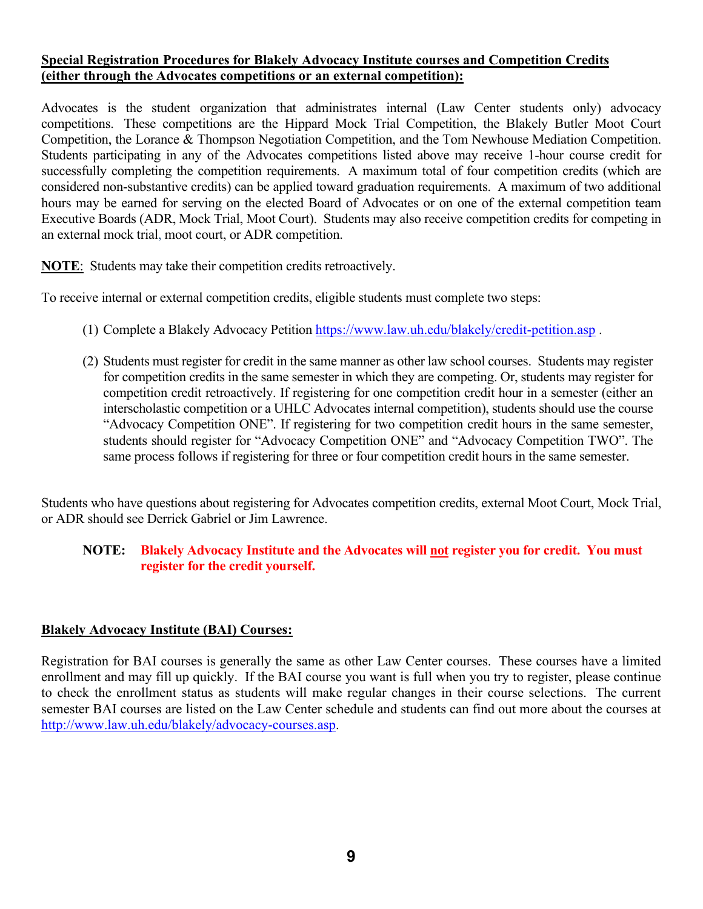#### **Special Registration Procedures for Blakely Advocacy Institute courses and Competition Credits (either through the Advocates competitions or an external competition):**

Advocates is the student organization that administrates internal (Law Center students only) advocacy competitions. These competitions are the Hippard Mock Trial Competition, the Blakely Butler Moot Court Competition, the Lorance & Thompson Negotiation Competition, and the Tom Newhouse Mediation Competition. Students participating in any of the Advocates competitions listed above may receive 1-hour course credit for successfully completing the competition requirements. A maximum total of four competition credits (which are considered non-substantive credits) can be applied toward graduation requirements. A maximum of two additional hours may be earned for serving on the elected Board of Advocates or on one of the external competition team Executive Boards (ADR, Mock Trial, Moot Court). Students may also receive competition credits for competing in an external mock trial, moot court, or ADR competition.

**NOTE**: Students may take their competition credits retroactively.

To receive internal or external competition credits, eligible students must complete two steps:

- (1) Complete a Blakely Advocacy Petition <https://www.law.uh.edu/blakely/credit-petition.asp>.
- (2) Students must register for credit in the same manner as other law school courses. Students may register for competition credits in the same semester in which they are competing. Or, students may register for competition credit retroactively. If registering for one competition credit hour in a semester (either an interscholastic competition or a UHLC Advocates internal competition), students should use the course "Advocacy Competition ONE". If registering for two competition credit hours in the same semester, students should register for "Advocacy Competition ONE" and "Advocacy Competition TWO". The same process follows if registering for three or four competition credit hours in the same semester.

Students who have questions about registering for Advocates competition credits, external Moot Court, Mock Trial, or ADR should see Derrick Gabriel or Jim Lawrence.

#### **NOTE: Blakely Advocacy Institute and the Advocates will not register you for credit. You must register for the credit yourself.**

#### **Blakely Advocacy Institute (BAI) Courses:**

Registration for BAI courses is generally the same as other Law Center courses. These courses have a limited enrollment and may fill up quickly. If the BAI course you want is full when you try to register, please continue to check the enrollment status as students will make regular changes in their course selections. The current semester BAI courses are listed on the Law Center schedule and students can find out more about the courses at [http://www.law.uh.edu/blakely/advocacy-courses.asp.](http://www.law.uh.edu/blakely/advocacy-courses.asp)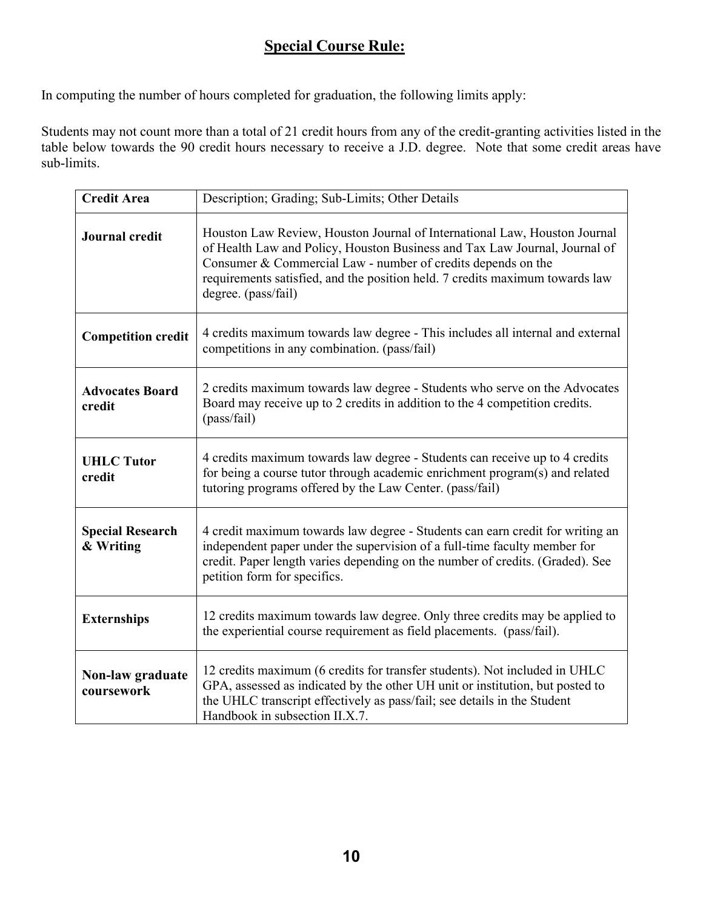### **Special Course Rule:**

In computing the number of hours completed for graduation, the following limits apply:

Students may not count more than a total of 21 credit hours from any of the credit-granting activities listed in the table below towards the 90 credit hours necessary to receive a J.D. degree. Note that some credit areas have sub-limits.

| <b>Credit Area</b>                   | Description; Grading; Sub-Limits; Other Details                                                                                                                                                                                                                                                                                |  |
|--------------------------------------|--------------------------------------------------------------------------------------------------------------------------------------------------------------------------------------------------------------------------------------------------------------------------------------------------------------------------------|--|
| Journal credit                       | Houston Law Review, Houston Journal of International Law, Houston Journal<br>of Health Law and Policy, Houston Business and Tax Law Journal, Journal of<br>Consumer & Commercial Law - number of credits depends on the<br>requirements satisfied, and the position held. 7 credits maximum towards law<br>degree. (pass/fail) |  |
| <b>Competition credit</b>            | 4 credits maximum towards law degree - This includes all internal and external<br>competitions in any combination. (pass/fail)                                                                                                                                                                                                 |  |
| <b>Advocates Board</b><br>credit     | 2 credits maximum towards law degree - Students who serve on the Advocates<br>Board may receive up to 2 credits in addition to the 4 competition credits.<br>(pass/fail)                                                                                                                                                       |  |
| <b>UHLC Tutor</b><br>credit          | 4 credits maximum towards law degree - Students can receive up to 4 credits<br>for being a course tutor through academic enrichment program(s) and related<br>tutoring programs offered by the Law Center. (pass/fail)                                                                                                         |  |
| <b>Special Research</b><br>& Writing | 4 credit maximum towards law degree - Students can earn credit for writing an<br>independent paper under the supervision of a full-time faculty member for<br>credit. Paper length varies depending on the number of credits. (Graded). See<br>petition form for specifics.                                                    |  |
| <b>Externships</b>                   | 12 credits maximum towards law degree. Only three credits may be applied to<br>the experiential course requirement as field placements. (pass/fail).                                                                                                                                                                           |  |
| Non-law graduate<br>coursework       | 12 credits maximum (6 credits for transfer students). Not included in UHLC<br>GPA, assessed as indicated by the other UH unit or institution, but posted to<br>the UHLC transcript effectively as pass/fail; see details in the Student<br>Handbook in subsection II.X.7.                                                      |  |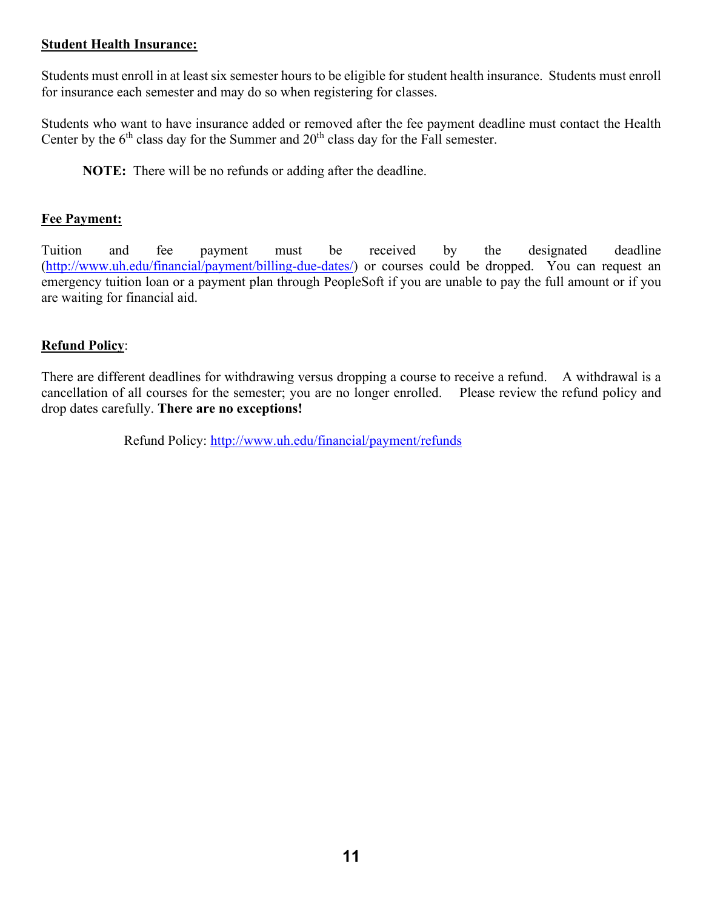#### **Student Health Insurance:**

Students must enroll in at least six semester hours to be eligible for student health insurance. Students must enroll for insurance each semester and may do so when registering for classes.

Students who want to have insurance added or removed after the fee payment deadline must contact the Health Center by the  $6<sup>th</sup>$  class day for the Summer and  $20<sup>th</sup>$  class day for the Fall semester.

**NOTE:** There will be no refunds or adding after the deadline.

#### **Fee Payment:**

Tuition and fee payment must be received by the designated deadline [\(http://www.uh.edu/financial/payment/billing-due-dates/\)](http://www.uh.edu/financial/payment/billing-due-dates/) or courses could be dropped. You can request an emergency tuition loan or a payment plan through PeopleSoft if you are unable to pay the full amount or if you are waiting for financial aid.

#### **Refund Policy**:

There are different deadlines for withdrawing versus dropping a course to receive a refund. A withdrawal is a cancellation of all courses for the semester; you are no longer enrolled. Please review the refund policy and drop dates carefully. **There are no exceptions!**

Refund Policy:<http://www.uh.edu/financial/payment/refunds>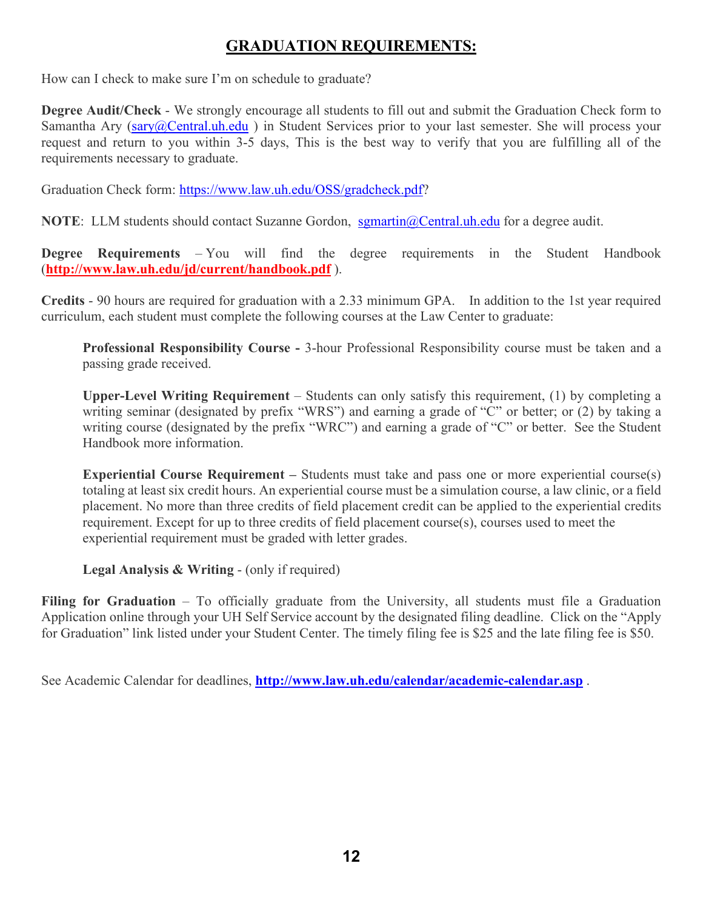### **GRADUATION REQUIREMENTS:**

How can I check to make sure I'm on schedule to graduate?

**Degree Audit/Check** - We strongly encourage all students to fill out and submit the Graduation Check form to Samantha Ary [\(sary@Central.uh.edu](mailto:sary@Central.uh.edu)) in Student Services prior to your last semester. She will process your request and return to you within 3-5 days, This is the best way to verify that you are fulfilling all of the requirements necessary to graduate.

Graduation Check form: [https://www.law.uh.edu/OSS/gradcheck.pdf?](https://www.law.uh.edu/OSS/gradcheck.pdf)

**NOTE**: LLM students should contact Suzanne Gordon, [sgmartin@Central.uh.edu](mailto:sgmartin@Central.uh.edu) for a degree audit.

**Degree Requirements** – You will find the degree requirements in the Student Handbook (**<http://www.law.uh.edu/jd/current/handbook.pdf>** ).

**Credits** - 90 hours are required for graduation with a 2.33 minimum GPA. In addition to the 1st year required curriculum, each student must complete the following courses at the Law Center to graduate:

**Professional Responsibility Course -** 3-hour Professional Responsibility course must be taken and a passing grade received.

**Upper-Level Writing Requirement** – Students can only satisfy this requirement, (1) by completing a writing seminar (designated by prefix "WRS") and earning a grade of "C" or better; or (2) by taking a writing course (designated by the prefix "WRC") and earning a grade of "C" or better. See the Student Handbook more information.

**Experiential Course Requirement –** Students must take and pass one or more experiential course(s) totaling at least six credit hours. An experiential course must be a simulation course, a law clinic, or a field placement. No more than three credits of field placement credit can be applied to the experiential credits requirement. Except for up to three credits of field placement course(s), courses used to meet the experiential requirement must be graded with letter grades.

**Legal Analysis & Writing** - (only if required)

Filing for Graduation – To officially graduate from the University, all students must file a Graduation Application online through your UH Self Service account by the designated filing deadline. Click on the "Apply for Graduation" link listed under your Student Center. The timely filing fee is \$25 and the late filing fee is \$50.

See Academic Calendar for deadlines, **<http://www.law.uh.edu/calendar/academic-calendar.asp>** .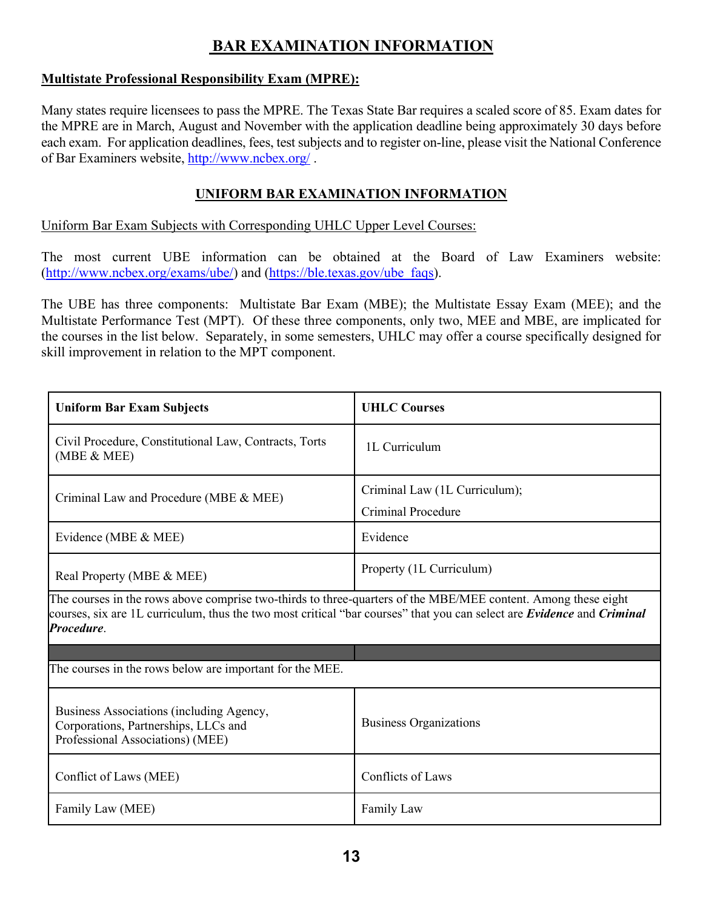### **BAR EXAMINATION INFORMATION**

#### **Multistate Professional Responsibility Exam (MPRE):**

Many states require licensees to pass the MPRE. The Texas State Bar requires a scaled score of 85. Exam dates for the MPRE are in March, August and November with the application deadline being approximately 30 days before each exam. For application deadlines, fees, test subjects and to register on-line, please visit the National Conference of Bar Examiners website,<http://www.ncbex.org/> .

#### **UNIFORM BAR EXAMINATION INFORMATION**

Uniform Bar Exam Subjects with Corresponding UHLC Upper Level Courses:

The most current UBE information can be obtained at the Board of Law Examiners website: [\(http://www.ncbex.org/exams/ube/\)](http://www.ncbex.org/exams/ube/) and [\(https://ble.texas.gov/ube\\_faqs\)](https://ble.texas.gov/ube_faqs).

The UBE has three components: Multistate Bar Exam (MBE); the Multistate Essay Exam (MEE); and the Multistate Performance Test (MPT). Of these three components, only two, MEE and MBE, are implicated for the courses in the list below. Separately, in some semesters, UHLC may offer a course specifically designed for skill improvement in relation to the MPT component.

| <b>Uniform Bar Exam Subjects</b>                                                                                                                                                                                                                                    | <b>UHLC Courses</b>                                 |
|---------------------------------------------------------------------------------------------------------------------------------------------------------------------------------------------------------------------------------------------------------------------|-----------------------------------------------------|
| Civil Procedure, Constitutional Law, Contracts, Torts<br>(MBE & MEE)                                                                                                                                                                                                | 1L Curriculum                                       |
| Criminal Law and Procedure (MBE & MEE)                                                                                                                                                                                                                              | Criminal Law (1L Curriculum);<br>Criminal Procedure |
| Evidence (MBE & MEE)                                                                                                                                                                                                                                                | Evidence                                            |
| Real Property (MBE & MEE)                                                                                                                                                                                                                                           | Property (1L Curriculum)                            |
| The courses in the rows above comprise two-thirds to three-quarters of the MBE/MEE content. Among these eight<br>courses, six are 1L curriculum, thus the two most critical "bar courses" that you can select are <i>Evidence</i> and <i>Criminal</i><br>Procedure. |                                                     |
| The courses in the rows below are important for the MEE.                                                                                                                                                                                                            |                                                     |
| Business Associations (including Agency,<br>Corporations, Partnerships, LLCs and<br>Professional Associations) (MEE)                                                                                                                                                | <b>Business Organizations</b>                       |
| Conflict of Laws (MEE)                                                                                                                                                                                                                                              | Conflicts of Laws                                   |
| Family Law (MEE)                                                                                                                                                                                                                                                    | Family Law                                          |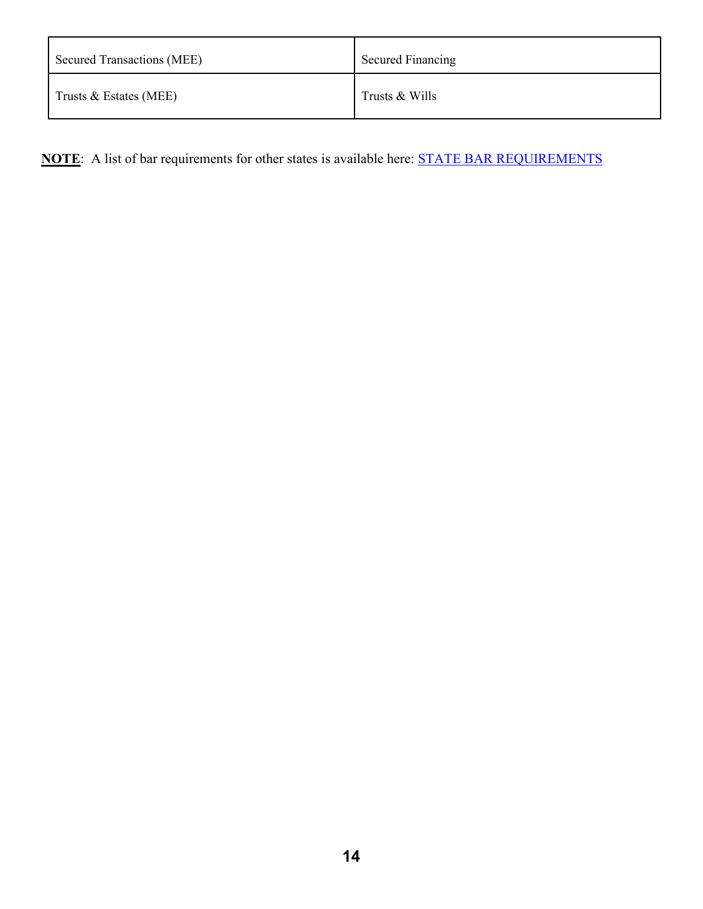| <b>Secured Transactions (MEE)</b> | <b>Secured Financing</b> |
|-----------------------------------|--------------------------|
| Trusts $&Estates (MEE)$           | Trusts & Wills           |

**NOTE**: A list of bar requirements for other states is available here: [STATE BAR REQUIREMENTS](http://www.ncbex.org/assets/media_files/Comp-Guide/CompGuide.pdf)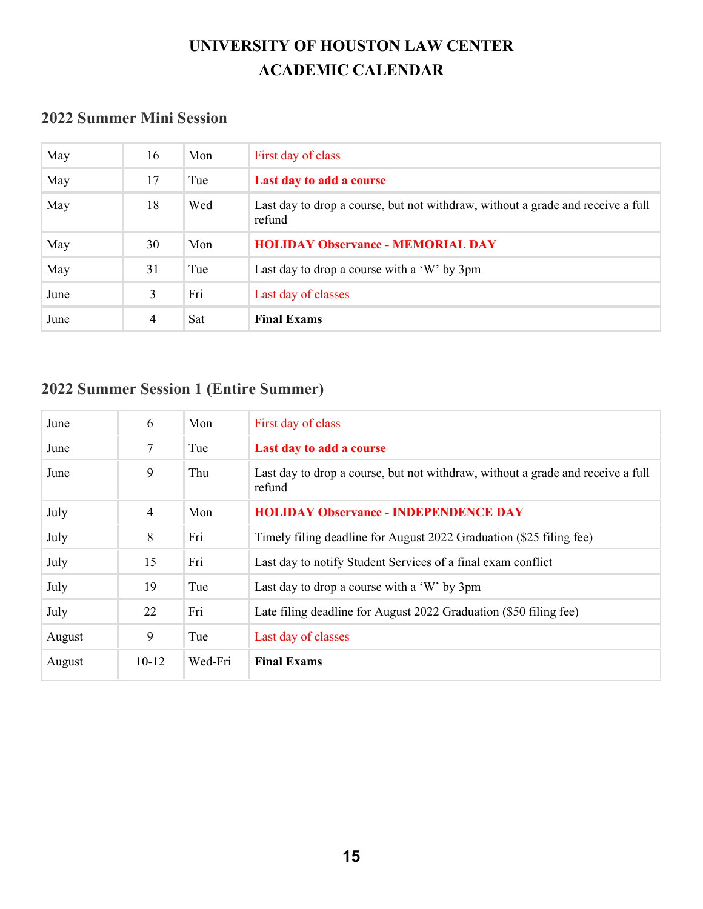## **UNIVERSITY OF HOUSTON LAW CENTER ACADEMIC CALENDAR**

### **2022 Summer Mini Session**

| May  | 16 | Mon | First day of class                                                                        |
|------|----|-----|-------------------------------------------------------------------------------------------|
| May  | 17 | Tue | Last day to add a course                                                                  |
| May  | 18 | Wed | Last day to drop a course, but not withdraw, without a grade and receive a full<br>refund |
| May  | 30 | Mon | <b>HOLIDAY Observance - MEMORIAL DAY</b>                                                  |
| May  | 31 | Tue | Last day to drop a course with a 'W' by 3pm                                               |
| June | 3  | Fri | Last day of classes                                                                       |
| June | 4  | Sat | <b>Final Exams</b>                                                                        |

## **2022 Summer Session 1 (Entire Summer)**

| June   | 6              | Mon     | First day of class                                                                        |
|--------|----------------|---------|-------------------------------------------------------------------------------------------|
| June   | 7              | Tue     | Last day to add a course                                                                  |
| June   | 9              | Thu     | Last day to drop a course, but not withdraw, without a grade and receive a full<br>refund |
| July   | $\overline{4}$ | Mon     | <b>HOLIDAY Observance - INDEPENDENCE DAY</b>                                              |
| July   | 8              | Fri     | Timely filing deadline for August 2022 Graduation (\$25 filing fee)                       |
| July   | 15             | Fri     | Last day to notify Student Services of a final exam conflict                              |
| July   | 19             | Tue     | Last day to drop a course with a 'W' by 3pm                                               |
| July   | 22             | Fri     | Late filing deadline for August 2022 Graduation (\$50 filing fee)                         |
| August | 9              | Tue     | Last day of classes                                                                       |
| August | $10 - 12$      | Wed-Fri | <b>Final Exams</b>                                                                        |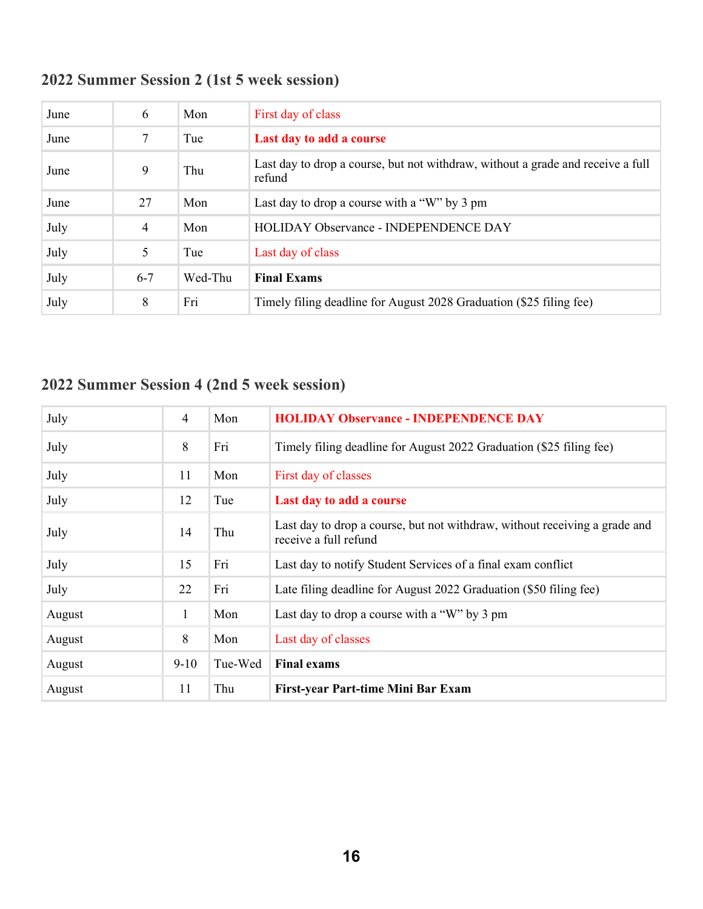| June | 6       | Mon     | First day of class                                                                        |
|------|---------|---------|-------------------------------------------------------------------------------------------|
| June | 7       | Tue     | Last day to add a course                                                                  |
| June | 9       | Thu     | Last day to drop a course, but not withdraw, without a grade and receive a full<br>refund |
| June | 27      | Mon     | Last day to drop a course with a "W" by 3 pm                                              |
| July | 4       | Mon     | HOLIDAY Observance - INDEPENDENCE DAY                                                     |
| July | 5       | Tue     | Last day of class                                                                         |
| July | $6 - 7$ | Wed-Thu | <b>Final Exams</b>                                                                        |
| July | 8       | Fri     | Timely filing deadline for August 2028 Graduation (\$25 filing fee)                       |

# **2022 Summer Session 4 (2nd 5 week session)**

| July   | $\overline{4}$ | Mon     | <b>HOLIDAY Observance - INDEPENDENCE DAY</b>                                                        |
|--------|----------------|---------|-----------------------------------------------------------------------------------------------------|
| July   | 8              | Fri     | Timely filing deadline for August 2022 Graduation (\$25 filing fee)                                 |
| July   | 11             | Mon     | First day of classes                                                                                |
| July   | 12             | Tue     | Last day to add a course                                                                            |
| July   | 14             | Thu     | Last day to drop a course, but not withdraw, without receiving a grade and<br>receive a full refund |
| July   | 15             | Fri     | Last day to notify Student Services of a final exam conflict                                        |
| July   | 22             | Fri     | Late filing deadline for August 2022 Graduation (\$50 filing fee)                                   |
| August | 1              | Mon     | Last day to drop a course with a "W" by 3 pm                                                        |
| August | 8              | Mon     | Last day of classes                                                                                 |
| August | $9-10$         | Tue-Wed | <b>Final exams</b>                                                                                  |
| August | 11             | Thu     | First-year Part-time Mini Bar Exam                                                                  |